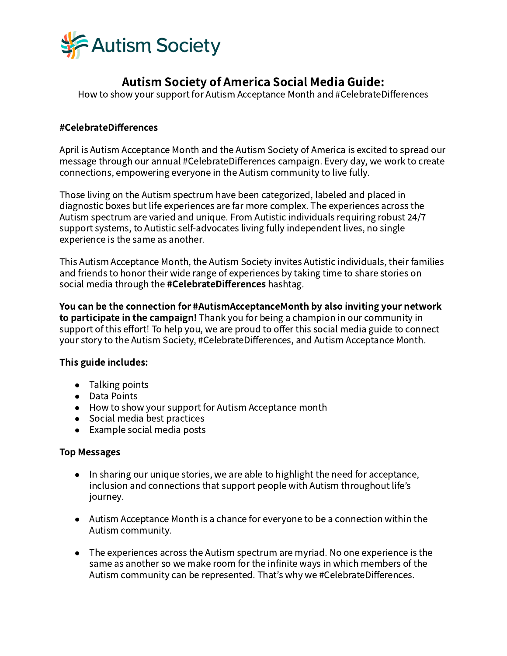

# Autism Society of America Social Media Guide:

How to show your support for Autism Acceptance Month and #CelebrateDifferences

## #CelebrateDifferences

April is Autism Acceptance Month and the Autism Society of America is excited to spread our message through our annual #CelebrateDifferences campaign. Every day, we work to create connections, empowering everyone in the Autism community to live fully.

Those living on the Autism spectrum have been categorized, labeled and placed in diagnostic boxes but life experiences are far more complex. The experiences across the Autism spectrum are varied and unique. From Autistic individuals requiring robust 24/7 support systems, to Autistic self-advocates living fully independent lives, no single experience is the same as another.

This Autism Acceptance Month, the Autism Society invites Autistic individuals, their families and friends to honor their wide range of experiences by taking time to share stories on social media through the #CelebrateDifferences hashtag.

You can be the connection for #AutismAcceptanceMonth by also inviting your network to participate in the campaign! Thank you for being a champion in our community in support of this effort! To help you, we are proud to offer this social media guide to connect your story to the Autism Society, #CelebrateDifferences, and Autism Acceptance Month.

## This guide includes:

- Talking points
- Data Points
- How to show your support for Autism Acceptance month
- Social media best practices
- Example social media posts

## Top Messages

- In sharing our unique stories, we are able to highlight the need for acceptance, inclusion and connections that support people with Autism throughout life's journey.
- Autism Acceptance Month is a chance for everyone to be a connection within the Autism community.
- The experiences across the Autism spectrum are myriad. No one experience is the same as another so we make room for the infinite ways in which members of the Autism community can be represented. That's why we #CelebrateDifferences.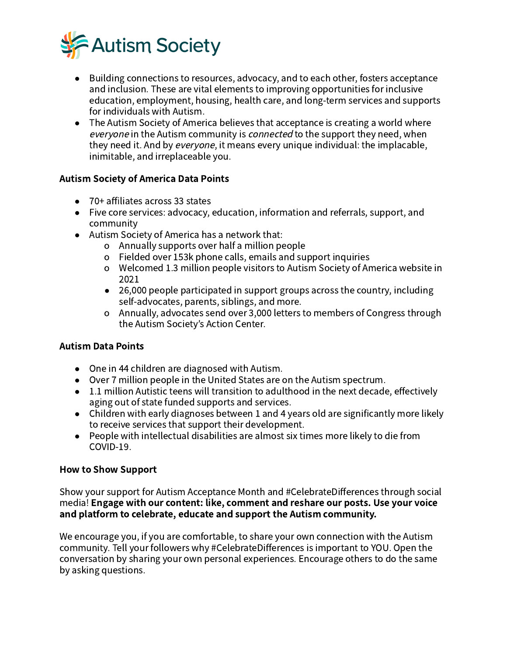

- Building connections to resources, advocacy, and to each other, fosters acceptance and inclusion. These are vital elements to improving opportunities for inclusive education, employment, housing, health care, and long-term services and supports for individuals with Autism.
- The Autism Society of America believes that acceptance is creating a world where everyone in the Autism community is *connected* to the support they need, when they need it. And by *everyone*, it means every unique individual: the implacable, inimitable, and irreplaceable you.

# Autism Society of America Data Points

- $\bullet$  70+ affiliates across 33 states
- Five core services: advocacy, education, information and referrals, support, and community
- Autism Society of America has a network that:
	- o Annually supports over half a million people
	- o Fielded over 153k phone calls, emails and support inquiries
	- o Welcomed 1.3 million people visitors to Autism Society of America website in 2021
	- 26,000 people participated in support groups across the country, including self-advocates, parents, siblings, and more.
	- o Annually, advocates send over 3,000 letters to members of Congress through the Autism Society's Action Center.

# Autism Data Points

- One in 44 children are diagnosed with Autism.
- Over 7 million people in the United States are on the Autism spectrum.
- 1.1 million Autistic teens will transition to adulthood in the next decade, effectively aging out of state funded supports and services.
- Children with early diagnoses between 1 and 4 years old are significantly more likely to receive services that support their development.
- People with intellectual disabilities are almost six times more likely to die from COVID-19.

# How to Show Support

Show your support for Autism Acceptance Month and #CelebrateDifferences through social media! Engage with our content: like, comment and reshare our posts. Use your voice and platform to celebrate, educate and support the Autism community.

We encourage you, if you are comfortable, to share your own connection with the Autism community. Tell your followers why #CelebrateDifferences is important to YOU. Open the conversation by sharing your own personal experiences. Encourage others to do the same by asking questions.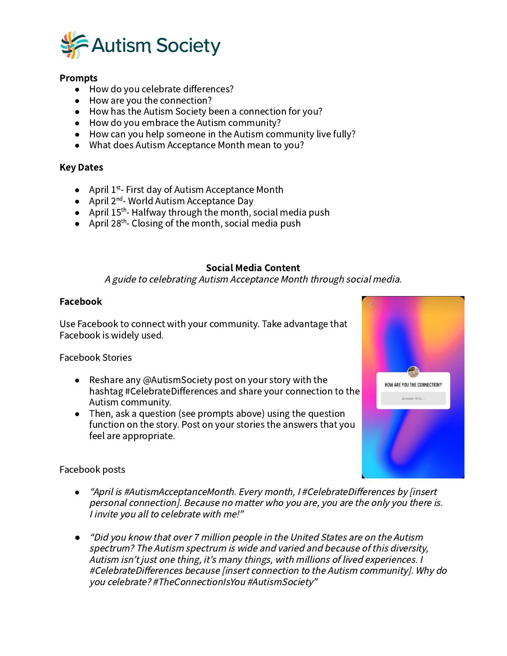

## Prompts

- How do you celebrate differences?
- How are you the connection?
- How has the Autism Society been a connection for you?
- How do you embrace the Autism community?
- How can you help someone in the Autism community live fully?
- What does Autism Acceptance Month mean to you?

## Key Dates

- April  $1^{st}$  First day of Autism Acceptance Month
- April 2<sup>nd</sup>- World Autism Acceptance Day
- April  $15<sup>th</sup>$ -Halfway through the month, social media push
- April 28<sup>th</sup>-Closing of the month, social media push

## Social Media Content

A guide to celebrating Autism Acceptance Month through social media.

## Facebook

Use Facebook to connect with your community. Take advantage that Facebook is widely used.

Facebook Stories

- Reshare any @AutismSociety post on your story with the hashtag #CelebrateDifferences and share your connection to the Autism community.
- Then, ask a question (see prompts above) using the question function on the story. Post on your stories the answers that you feel are appropriate.



## Facebook posts

- *●* "April is #AutismAcceptanceMonth. Every month, I #CelebrateDifferences by [insert personal connection]. Because no matter who you are, you are the only you there is. I invite you all to celebrate with me!"
- *●* "Did you know that over million people in the United States are on the Autism spectrum? The Autism spectrum is wide and varied and because of this diversity, Autism isn't just one thing, it's many things, with millions of lived experiences. <sup>I</sup> #CelebrateDifferences because [insert connection to the Autism community]. Why do you celebrate? #TheConnectionIsYou #AutismSociety"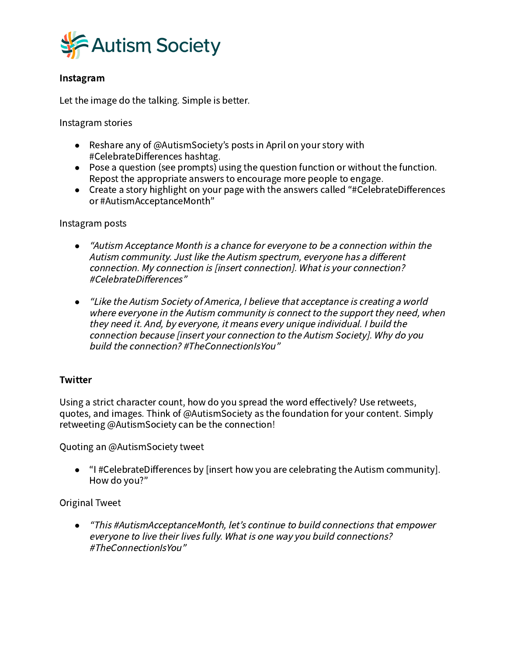

# Instagram

Let the image do the talking. Simple is better.

Instagram stories

- Reshare any of @AutismSociety's posts in April on your story with #CelebrateDifferences hashtag.
- Pose a question (see prompts) using the question function or without the function. Repost the appropriate answers to encourage more people to engage.
- Create a story highlight on your page with the answers called "#CelebrateDifferences or #AutismAcceptanceMonth"

Instagram posts

- *●* "Autism Acceptance Month is <sup>a</sup> chance for everyone to be <sup>a</sup> connection within the Autism community. Just like the Autism spectrum, everyone has <sup>a</sup> different connection. My connection is [insert connection]. What is your connection? #CelebrateDifferences"
- *●* "Like the Autism Society of America, <sup>I</sup> believe that acceptance is creating <sup>a</sup> world where everyone in the Autism community is connect to the support they need, when they need it. And, by everyone, it means every unique individual. I build the connection because [insert your connection to the Autism Society]. Why do you build the connection? #TheConnectionIsYou"

## **Twitter**

Using a strict character count, how do you spread the word effectively? Use retweets, quotes, and images. Think of @AutismSociety as the foundation for your content. Simply retweeting @AutismSociety can be the connection!

Quoting an @AutismSociety tweet

● "I #CelebrateDifferences by [insert how you are celebrating the Autism community]. How do you?"

Original Tweet

*●* "This #AutismAcceptanceMonth, let's continue to build connections that empower everyone to live their lives fully. What is one way you build connections? #TheConnectionIsYou"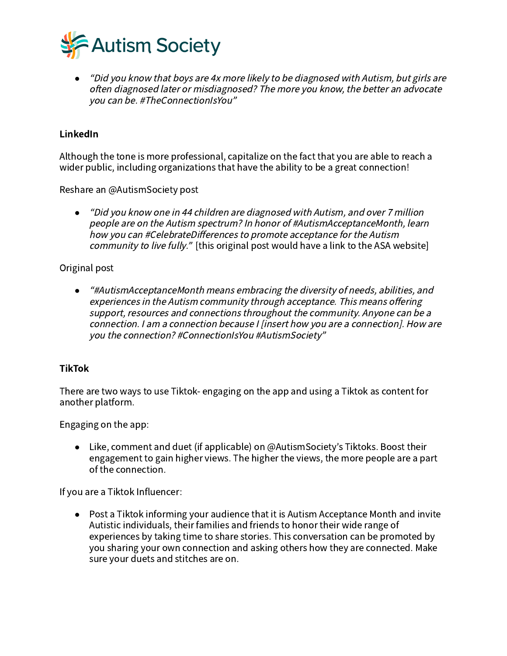

<sup>o</sup> "Did you know that boys are 4x more likely to be diagnosed with Autism, but girls are often diagnosed later or misdiagnosed? The more you know, the better an advocate you can be. #TheConnectionIsYou"

# LinkedIn

Although the tone is more professional, capitalize on the fact that you are able to reach a wider public, including organizations that have the ability to be a great connection!

Reshare an @AutismSociety post

• "Did you know one in 44 children are diagnosed with Autism, and over 7 million people are on the Autism spectrum? In honor of #AutismAcceptanceMonth, learn how you can #CelebrateDifferences to promote acceptance for the Autism community to live fully." [this original post would have a link to the ASA website]

# Original post

*●* "#AutismAcceptanceMonth means embracing the diversity of needs, abilities, and experiences in the Autism community through acceptance. This means offering support, resources and connections throughout the community. Anyone can be <sup>a</sup> connection. I am <sup>a</sup> connection because I [insert how you are <sup>a</sup> connection]. How are you the connection? #ConnectionIsYou #AutismSociety"

# TikTok

There are two ways to use Tiktok- engaging on the app and using a Tiktok as content for another platform.

Engaging on the app:

● Like, comment and duet (if applicable) on @AutismSociety's Tiktoks. Boost their engagement to gain higher views. The higher the views, the more people are a part of the connection.

If you are a Tiktok Influencer:

**●** Post a Tiktok informing your audience that it is Autism Acceptance Month and invite Autistic individuals, their families and friends to honor their wide range of experiences by taking time to share stories. This conversation can be promoted by you sharing your own connection and asking others how they are connected. Make sure your duets and stitches are on.